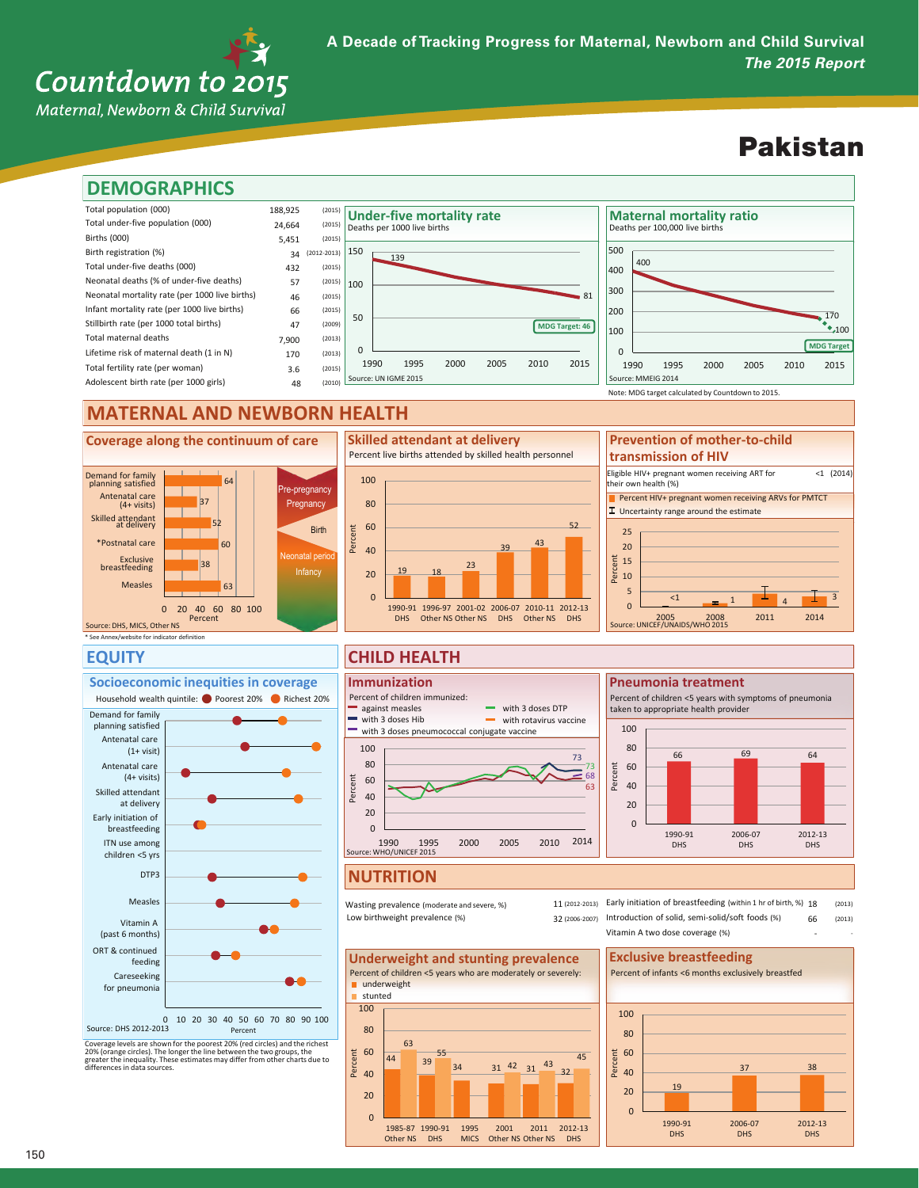## Countdown to 2015

Maternal, Newborn & Child Survival

### Pakistan



### **MATERNAL AND NEWBORN HEALTH**





### **EQUITY**



Coverage levels are shown for the poorest 20% (red circles) and the richest<br>20% (orange circles). The longer the line between the two groups, the<br>greater the inequality. These estimates may differ from other charts due to<br>

#### **CHILD HEALTH**



#### **NUTRITION**

Wasting prevalence (moderate and severe, %) Low birthweight prevalence (%)

(2006-2007) 32 Introduction of solid, semi-solid/soft foods (%) 11 (2012-2013) Early initiation of breastfeeding (within 1 hr of birth, %) 18 (2013) (2013) - 66 - Vitamin A two dose coverage (%)





25 Note: MDG target calculated by Countdown to 2015. Percent HIV+ pregnant women receiving ARVs for PMTCT  $\boxed{\perp}$  Uncertainty range around the estimate Eligible HIV+ pregnant women receiving ART for their own health (%) <1 (2014) **Prevention of mother-to-child transmission of HIV**



**Pneumonia treatment** Percent of children <5 years with symptoms of pneumonia